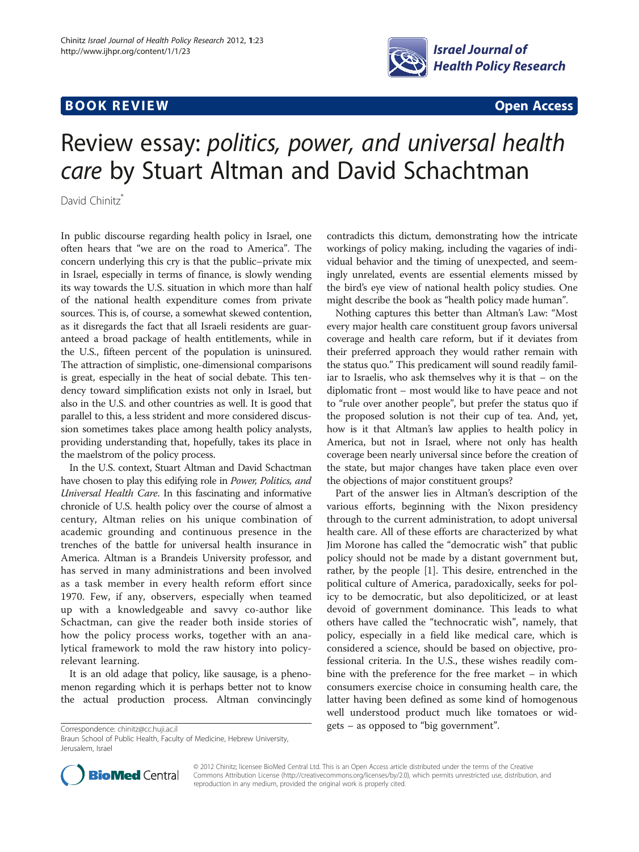## **BOOK REVIEW CONTROL** BOOK REVIEW



# Review essay: politics, power, and universal health care by Stuart Altman and David Schachtman

David Chinitz<sup>\*</sup>

In public discourse regarding health policy in Israel, one often hears that "we are on the road to America". The concern underlying this cry is that the public–private mix in Israel, especially in terms of finance, is slowly wending its way towards the U.S. situation in which more than half of the national health expenditure comes from private sources. This is, of course, a somewhat skewed contention, as it disregards the fact that all Israeli residents are guaranteed a broad package of health entitlements, while in the U.S., fifteen percent of the population is uninsured. The attraction of simplistic, one-dimensional comparisons is great, especially in the heat of social debate. This tendency toward simplification exists not only in Israel, but also in the U.S. and other countries as well. It is good that parallel to this, a less strident and more considered discussion sometimes takes place among health policy analysts, providing understanding that, hopefully, takes its place in the maelstrom of the policy process.

In the U.S. context, Stuart Altman and David Schactman have chosen to play this edifying role in Power, Politics, and Universal Health Care. In this fascinating and informative chronicle of U.S. health policy over the course of almost a century, Altman relies on his unique combination of academic grounding and continuous presence in the trenches of the battle for universal health insurance in America. Altman is a Brandeis University professor, and has served in many administrations and been involved as a task member in every health reform effort since 1970. Few, if any, observers, especially when teamed up with a knowledgeable and savvy co-author like Schactman, can give the reader both inside stories of how the policy process works, together with an analytical framework to mold the raw history into policyrelevant learning.

It is an old adage that policy, like sausage, is a phenomenon regarding which it is perhaps better not to know the actual production process. Altman convincingly contradicts this dictum, demonstrating how the intricate workings of policy making, including the vagaries of individual behavior and the timing of unexpected, and seemingly unrelated, events are essential elements missed by the bird's eye view of national health policy studies. One might describe the book as "health policy made human".

Nothing captures this better than Altman's Law: "Most every major health care constituent group favors universal coverage and health care reform, but if it deviates from their preferred approach they would rather remain with the status quo." This predicament will sound readily familiar to Israelis, who ask themselves why it is that – on the diplomatic front – most would like to have peace and not to "rule over another people", but prefer the status quo if the proposed solution is not their cup of tea. And, yet, how is it that Altman's law applies to health policy in America, but not in Israel, where not only has health coverage been nearly universal since before the creation of the state, but major changes have taken place even over the objections of major constituent groups?

Part of the answer lies in Altman's description of the various efforts, beginning with the Nixon presidency through to the current administration, to adopt universal health care. All of these efforts are characterized by what Jim Morone has called the "democratic wish" that public policy should not be made by a distant government but, rather, by the people [\[1](#page-2-0)]. This desire, entrenched in the political culture of America, paradoxically, seeks for policy to be democratic, but also depoliticized, or at least devoid of government dominance. This leads to what others have called the "technocratic wish", namely, that policy, especially in a field like medical care, which is considered a science, should be based on objective, professional criteria. In the U.S., these wishes readily combine with the preference for the free market – in which consumers exercise choice in consuming health care, the latter having been defined as some kind of homogenous well understood product much like tomatoes or widCorrespondence: [chinitz@cc.huji.ac.il](mailto:chinitz@cc.huji.ac.il) enterty and the sets – as opposed to "big government".

Braun School of Public Health, Faculty of Medicine, Hebrew University, Jerusalem, Israel



© 2012 Chinitz; licensee BioMed Central Ltd. This is an Open Access article distributed under the terms of the Creative Commons Attribution License [\(http://creativecommons.org/licenses/by/2.0\)](http://creativecommons.org/licenses/by/2.0), which permits unrestricted use, distribution, and reproduction in any medium, provided the original work is properly cited.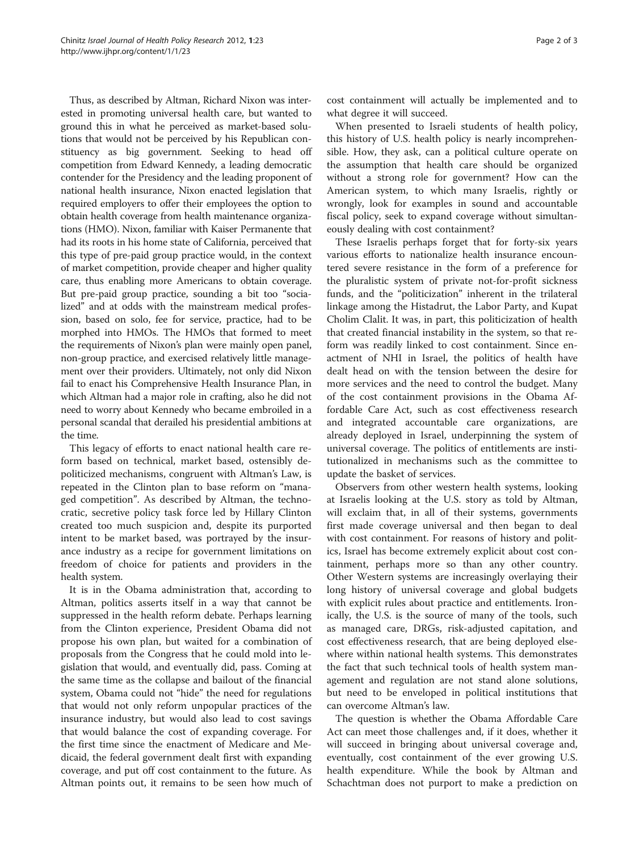Thus, as described by Altman, Richard Nixon was interested in promoting universal health care, but wanted to ground this in what he perceived as market-based solutions that would not be perceived by his Republican constituency as big government. Seeking to head off competition from Edward Kennedy, a leading democratic contender for the Presidency and the leading proponent of national health insurance, Nixon enacted legislation that required employers to offer their employees the option to obtain health coverage from health maintenance organizations (HMO). Nixon, familiar with Kaiser Permanente that had its roots in his home state of California, perceived that this type of pre-paid group practice would, in the context of market competition, provide cheaper and higher quality care, thus enabling more Americans to obtain coverage. But pre-paid group practice, sounding a bit too "socialized" and at odds with the mainstream medical profession, based on solo, fee for service, practice, had to be morphed into HMOs. The HMOs that formed to meet the requirements of Nixon's plan were mainly open panel, non-group practice, and exercised relatively little management over their providers. Ultimately, not only did Nixon fail to enact his Comprehensive Health Insurance Plan, in which Altman had a major role in crafting, also he did not need to worry about Kennedy who became embroiled in a personal scandal that derailed his presidential ambitions at the time.

This legacy of efforts to enact national health care reform based on technical, market based, ostensibly depoliticized mechanisms, congruent with Altman's Law, is repeated in the Clinton plan to base reform on "managed competition". As described by Altman, the technocratic, secretive policy task force led by Hillary Clinton created too much suspicion and, despite its purported intent to be market based, was portrayed by the insurance industry as a recipe for government limitations on freedom of choice for patients and providers in the health system.

It is in the Obama administration that, according to Altman, politics asserts itself in a way that cannot be suppressed in the health reform debate. Perhaps learning from the Clinton experience, President Obama did not propose his own plan, but waited for a combination of proposals from the Congress that he could mold into legislation that would, and eventually did, pass. Coming at the same time as the collapse and bailout of the financial system, Obama could not "hide" the need for regulations that would not only reform unpopular practices of the insurance industry, but would also lead to cost savings that would balance the cost of expanding coverage. For the first time since the enactment of Medicare and Medicaid, the federal government dealt first with expanding coverage, and put off cost containment to the future. As Altman points out, it remains to be seen how much of

cost containment will actually be implemented and to what degree it will succeed.

When presented to Israeli students of health policy, this history of U.S. health policy is nearly incomprehensible. How, they ask, can a political culture operate on the assumption that health care should be organized without a strong role for government? How can the American system, to which many Israelis, rightly or wrongly, look for examples in sound and accountable fiscal policy, seek to expand coverage without simultaneously dealing with cost containment?

These Israelis perhaps forget that for forty-six years various efforts to nationalize health insurance encountered severe resistance in the form of a preference for the pluralistic system of private not-for-profit sickness funds, and the "politicization" inherent in the trilateral linkage among the Histadrut, the Labor Party, and Kupat Cholim Clalit. It was, in part, this politicization of health that created financial instability in the system, so that reform was readily linked to cost containment. Since enactment of NHI in Israel, the politics of health have dealt head on with the tension between the desire for more services and the need to control the budget. Many of the cost containment provisions in the Obama Affordable Care Act, such as cost effectiveness research and integrated accountable care organizations, are already deployed in Israel, underpinning the system of universal coverage. The politics of entitlements are institutionalized in mechanisms such as the committee to update the basket of services.

Observers from other western health systems, looking at Israelis looking at the U.S. story as told by Altman, will exclaim that, in all of their systems, governments first made coverage universal and then began to deal with cost containment. For reasons of history and politics, Israel has become extremely explicit about cost containment, perhaps more so than any other country. Other Western systems are increasingly overlaying their long history of universal coverage and global budgets with explicit rules about practice and entitlements. Ironically, the U.S. is the source of many of the tools, such as managed care, DRGs, risk-adjusted capitation, and cost effectiveness research, that are being deployed elsewhere within national health systems. This demonstrates the fact that such technical tools of health system management and regulation are not stand alone solutions, but need to be enveloped in political institutions that can overcome Altman's law.

The question is whether the Obama Affordable Care Act can meet those challenges and, if it does, whether it will succeed in bringing about universal coverage and, eventually, cost containment of the ever growing U.S. health expenditure. While the book by Altman and Schachtman does not purport to make a prediction on